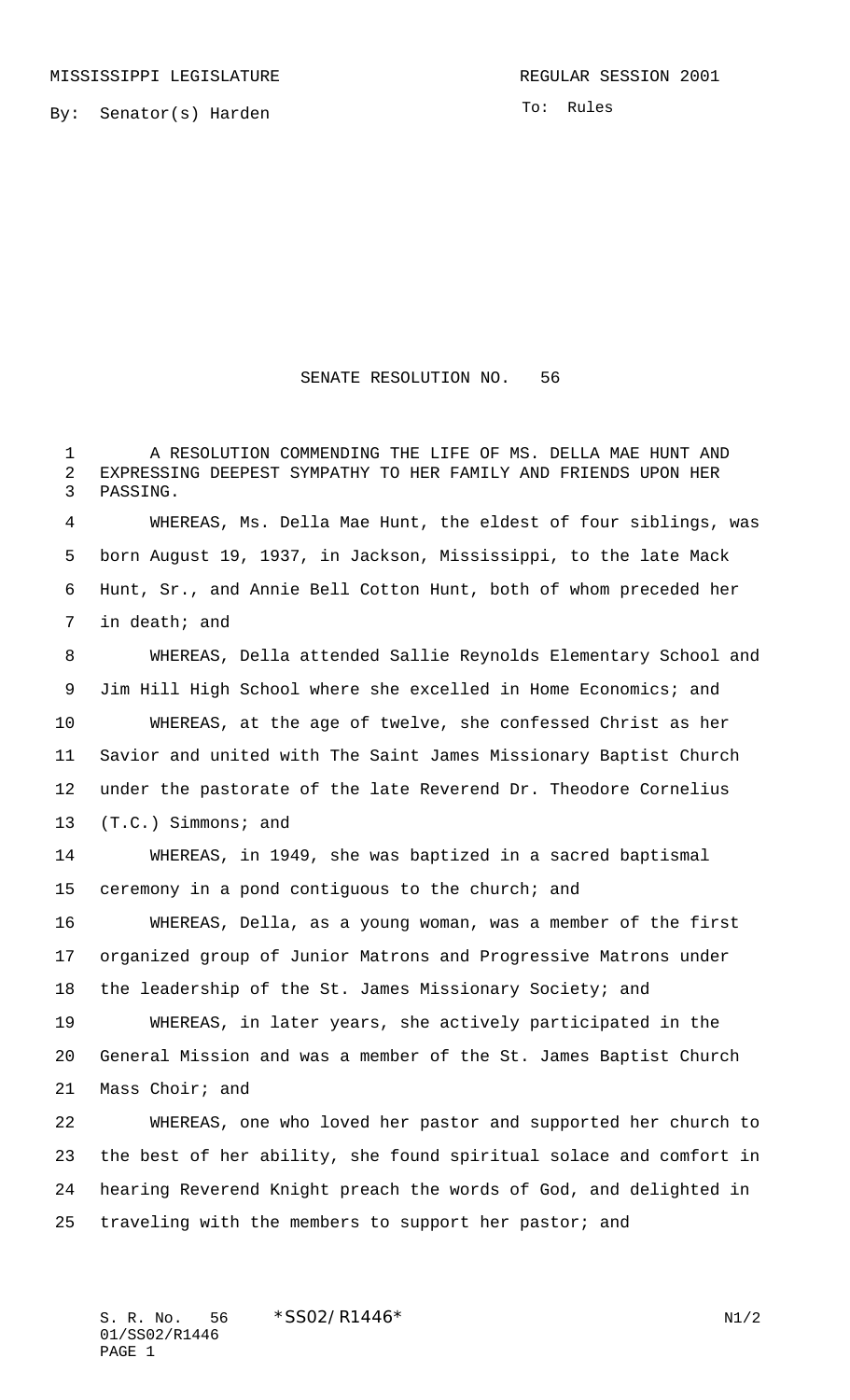By: Senator(s) Harden

To: Rules

## SENATE RESOLUTION NO. 56

 A RESOLUTION COMMENDING THE LIFE OF MS. DELLA MAE HUNT AND EXPRESSING DEEPEST SYMPATHY TO HER FAMILY AND FRIENDS UPON HER PASSING.

 WHEREAS, Ms. Della Mae Hunt, the eldest of four siblings, was born August 19, 1937, in Jackson, Mississippi, to the late Mack Hunt, Sr., and Annie Bell Cotton Hunt, both of whom preceded her in death; and

 WHEREAS, Della attended Sallie Reynolds Elementary School and Jim Hill High School where she excelled in Home Economics; and WHEREAS, at the age of twelve, she confessed Christ as her Savior and united with The Saint James Missionary Baptist Church under the pastorate of the late Reverend Dr. Theodore Cornelius (T.C.) Simmons; and

 WHEREAS, in 1949, she was baptized in a sacred baptismal ceremony in a pond contiguous to the church; and

 WHEREAS, Della, as a young woman, was a member of the first organized group of Junior Matrons and Progressive Matrons under 18 the leadership of the St. James Missionary Society; and WHEREAS, in later years, she actively participated in the

 General Mission and was a member of the St. James Baptist Church Mass Choir; and

 WHEREAS, one who loved her pastor and supported her church to the best of her ability, she found spiritual solace and comfort in hearing Reverend Knight preach the words of God, and delighted in traveling with the members to support her pastor; and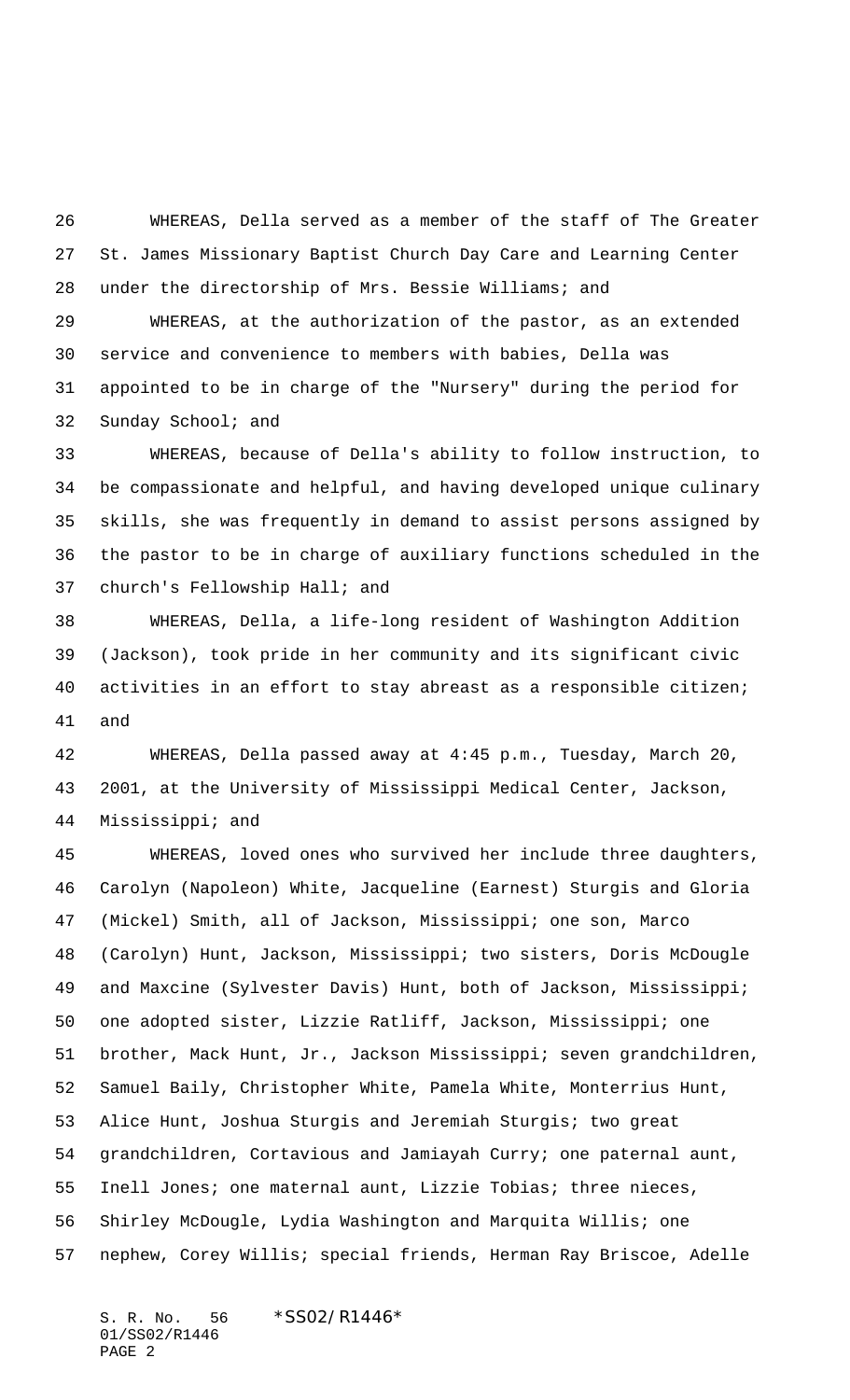WHEREAS, Della served as a member of the staff of The Greater St. James Missionary Baptist Church Day Care and Learning Center under the directorship of Mrs. Bessie Williams; and

 WHEREAS, at the authorization of the pastor, as an extended service and convenience to members with babies, Della was appointed to be in charge of the "Nursery" during the period for Sunday School; and

 WHEREAS, because of Della's ability to follow instruction, to be compassionate and helpful, and having developed unique culinary skills, she was frequently in demand to assist persons assigned by the pastor to be in charge of auxiliary functions scheduled in the church's Fellowship Hall; and

 WHEREAS, Della, a life-long resident of Washington Addition (Jackson), took pride in her community and its significant civic activities in an effort to stay abreast as a responsible citizen; and

 WHEREAS, Della passed away at 4:45 p.m., Tuesday, March 20, 2001, at the University of Mississippi Medical Center, Jackson, Mississippi; and

 WHEREAS, loved ones who survived her include three daughters, Carolyn (Napoleon) White, Jacqueline (Earnest) Sturgis and Gloria (Mickel) Smith, all of Jackson, Mississippi; one son, Marco (Carolyn) Hunt, Jackson, Mississippi; two sisters, Doris McDougle and Maxcine (Sylvester Davis) Hunt, both of Jackson, Mississippi; one adopted sister, Lizzie Ratliff, Jackson, Mississippi; one brother, Mack Hunt, Jr., Jackson Mississippi; seven grandchildren, Samuel Baily, Christopher White, Pamela White, Monterrius Hunt, Alice Hunt, Joshua Sturgis and Jeremiah Sturgis; two great grandchildren, Cortavious and Jamiayah Curry; one paternal aunt, Inell Jones; one maternal aunt, Lizzie Tobias; three nieces, Shirley McDougle, Lydia Washington and Marquita Willis; one nephew, Corey Willis; special friends, Herman Ray Briscoe, Adelle

S. R. No. 56 \* SS02/R1446\* 01/SS02/R1446 PAGE 2